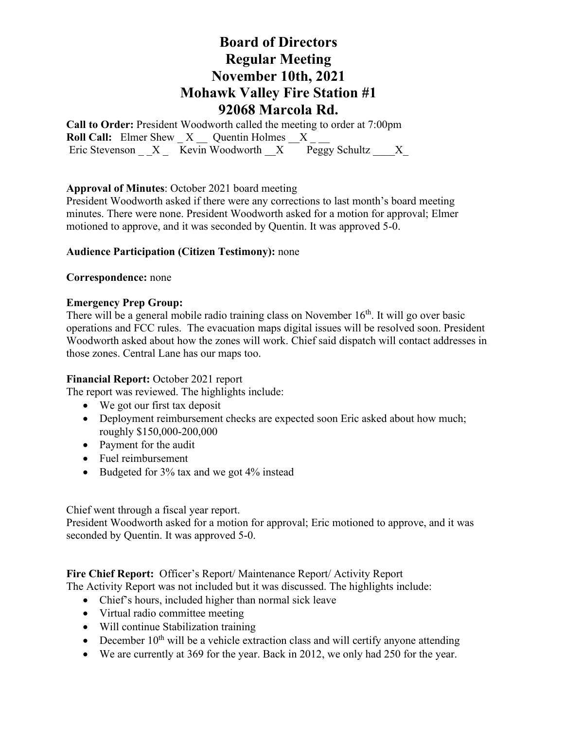# **Board of Directors Regular Meeting November 10th, 2021 Mohawk Valley Fire Station #1 92068 Marcola Rd.**

**Call to Order:** President Woodworth called the meeting to order at 7:00pm **Roll Call:** Elmer Shew  $X$  Quentin Holmes X Eric Stevenson  $X -$ Kevin Woodworth  $X -$ Peggy Schultz  $X -$ 

#### **Approval of Minutes**: October 2021 board meeting

President Woodworth asked if there were any corrections to last month's board meeting minutes. There were none. President Woodworth asked for a motion for approval; Elmer motioned to approve, and it was seconded by Quentin. It was approved 5-0.

#### **Audience Participation (Citizen Testimony):** none

#### **Correspondence:** none

#### **Emergency Prep Group:**

There will be a general mobile radio training class on November 16<sup>th</sup>. It will go over basic operations and FCC rules. The evacuation maps digital issues will be resolved soon. President Woodworth asked about how the zones will work. Chief said dispatch will contact addresses in those zones. Central Lane has our maps too.

#### **Financial Report:** October 2021 report

The report was reviewed. The highlights include:

- We got our first tax deposit
- Deployment reimbursement checks are expected soon Eric asked about how much; roughly \$150,000-200,000
- Payment for the audit
- Fuel reimbursement
- Budgeted for 3% tax and we got 4% instead

Chief went through a fiscal year report.

President Woodworth asked for a motion for approval; Eric motioned to approve, and it was seconded by Quentin. It was approved 5-0.

### **Fire Chief Report:** Officer's Report/ Maintenance Report/ Activity Report

The Activity Report was not included but it was discussed. The highlights include:

- Chief's hours, included higher than normal sick leave
- Virtual radio committee meeting
- Will continue Stabilization training
- December  $10^{th}$  will be a vehicle extraction class and will certify anyone attending
- We are currently at 369 for the year. Back in 2012, we only had 250 for the year.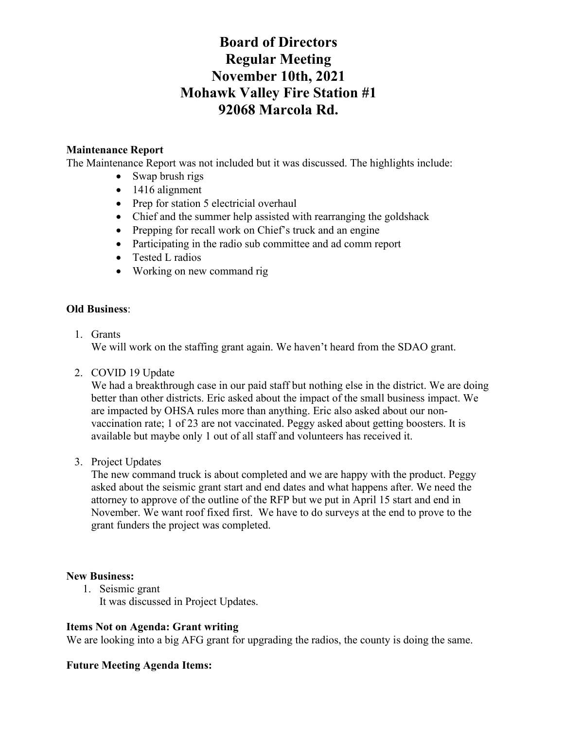# **Board of Directors Regular Meeting November 10th, 2021 Mohawk Valley Fire Station #1 92068 Marcola Rd.**

## **Maintenance Report**

The Maintenance Report was not included but it was discussed. The highlights include:

- Swap brush rigs
- 1416 alignment
- Prep for station 5 electricial overhaul
- Chief and the summer help assisted with rearranging the goldshack
- Prepping for recall work on Chief's truck and an engine
- Participating in the radio sub committee and ad comm report
- Tested L radios
- Working on new command rig

### **Old Business**:

1. Grants

We will work on the staffing grant again. We haven't heard from the SDAO grant.

2. COVID 19 Update

We had a breakthrough case in our paid staff but nothing else in the district. We are doing better than other districts. Eric asked about the impact of the small business impact. We are impacted by OHSA rules more than anything. Eric also asked about our nonvaccination rate; 1 of 23 are not vaccinated. Peggy asked about getting boosters. It is available but maybe only 1 out of all staff and volunteers has received it.

3. Project Updates

The new command truck is about completed and we are happy with the product. Peggy asked about the seismic grant start and end dates and what happens after. We need the attorney to approve of the outline of the RFP but we put in April 15 start and end in November. We want roof fixed first. We have to do surveys at the end to prove to the grant funders the project was completed.

### **New Business:**

1. Seismic grant

It was discussed in Project Updates.

### **Items Not on Agenda: Grant writing**

We are looking into a big AFG grant for upgrading the radios, the county is doing the same.

### **Future Meeting Agenda Items:**